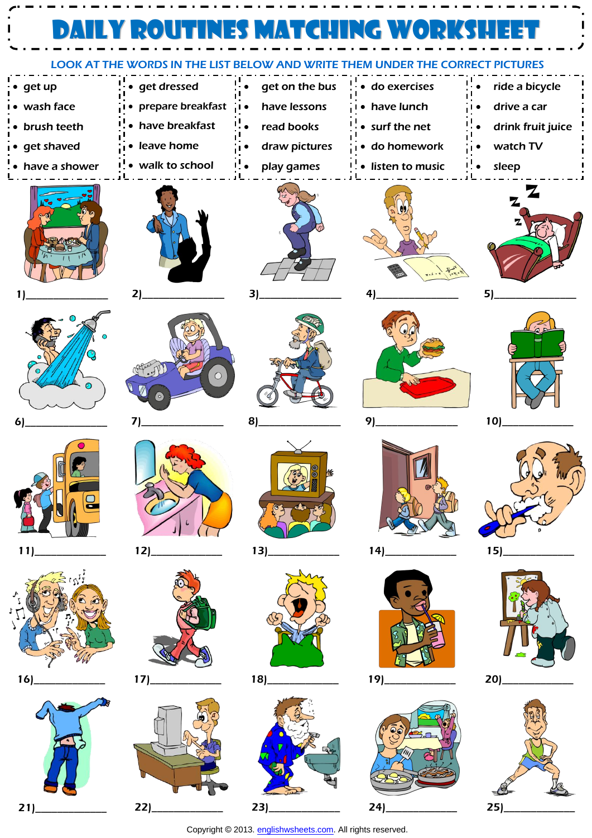| <b>MUNDER THE CORRECT PICTURES</b><br><b>LOOK AT THE WORDS IN THE LIST BE</b><br>OW AND WRIT |                   |                |                     |                   |  |  |  |
|----------------------------------------------------------------------------------------------|-------------------|----------------|---------------------|-------------------|--|--|--|
| $\bullet$ get up                                                                             | · get dressed     | get on the bus | · do exercises      | ride a bicycle    |  |  |  |
| • wash face                                                                                  | prepare breakfast | have lessons   | • have lunch        | drive a car       |  |  |  |
| • brush teeth                                                                                | • have breakfast  | read books     | • surf the net      | drink fruit juice |  |  |  |
| i• get shaved                                                                                | • leave home      | draw pictures  | .<br>□● do homework | watch TV          |  |  |  |
| • have a shower                                                                              | • walk to school  | play games     | • listen to music   | sleep             |  |  |  |
|                                                                                              |                   |                |                     |                   |  |  |  |
|                                                                                              | 2)                | 3)             | 4                   | 5 <sub>l</sub>    |  |  |  |
|                                                                                              | $\bigcirc$        |                |                     |                   |  |  |  |
| 6                                                                                            | 71                | 8              | 9)                  | 10                |  |  |  |
|                                                                                              |                   | $\frac{1}{2}$  |                     |                   |  |  |  |
| 11                                                                                           | 12)               | 13)            | 14)                 | 15                |  |  |  |
|                                                                                              |                   |                |                     |                   |  |  |  |

```
16
```


 $17)$ 

 $22)$ 







r.

Copyright © 2013. englishwsheets.com. All rights reserved.